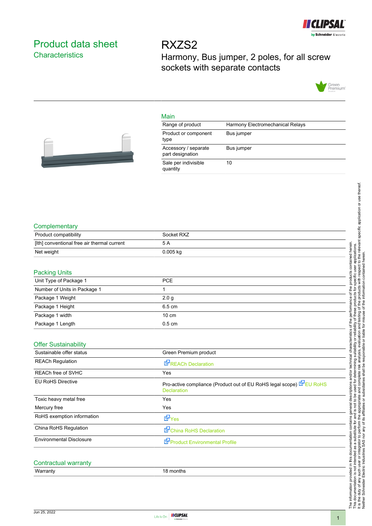

# Product data sheet **Characteristics**

RXZS2 Harmony, Bus jumper, 2 poles, for all screw sockets with separate contacts



#### Main

| Range of product                         | Harmony Electromechanical Relays |
|------------------------------------------|----------------------------------|
| Product or component<br>type             | Bus jumper                       |
| Accessory / separate<br>part designation | Bus jumper                       |
| Sale per indivisible<br>quantity         | 10                               |



## **Complementary**

| Product compatibility                       | Socket RXZ |
|---------------------------------------------|------------|
| [Ith] conventional free air thermal current | 5 A        |
| Net weight                                  | $0.005$ kg |

### Packing Units

| $\sim$                       |                  |
|------------------------------|------------------|
| Unit Type of Package 1       | <b>PCE</b>       |
| Number of Units in Package 1 |                  |
| Package 1 Weight             | 2.0 <sub>q</sub> |
| Package 1 Height             | 6.5 cm           |
| Package 1 width              | $10 \text{ cm}$  |
| Package 1 Length             | $0.5 \text{ cm}$ |

#### Offer Sustainability

| Sustainable offer status        | Green Premium product                                                                      |
|---------------------------------|--------------------------------------------------------------------------------------------|
| <b>REACh Regulation</b>         | <b>REACh Declaration</b>                                                                   |
| <b>REACh free of SVHC</b>       | Yes                                                                                        |
| <b>EU RoHS Directive</b>        | Pro-active compliance (Product out of EU RoHS legal scope) E EU RoHS<br><b>Declaration</b> |
| Toxic heavy metal free          | Yes                                                                                        |
| Mercury free                    | Yes                                                                                        |
| RoHS exemption information      | d9r <sub>es</sub>                                                                          |
| China RoHS Regulation           | China RoHS Declaration                                                                     |
| <b>Environmental Disclosure</b> | Product Environmental Profile                                                              |
|                                 |                                                                                            |

## Contractual warranty

Warranty **18 months** 

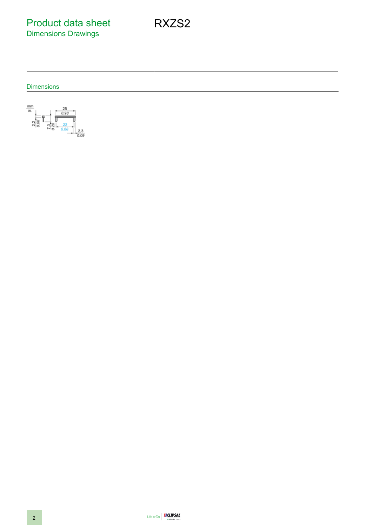Product data sheet Dimensions Drawings

Dimensions